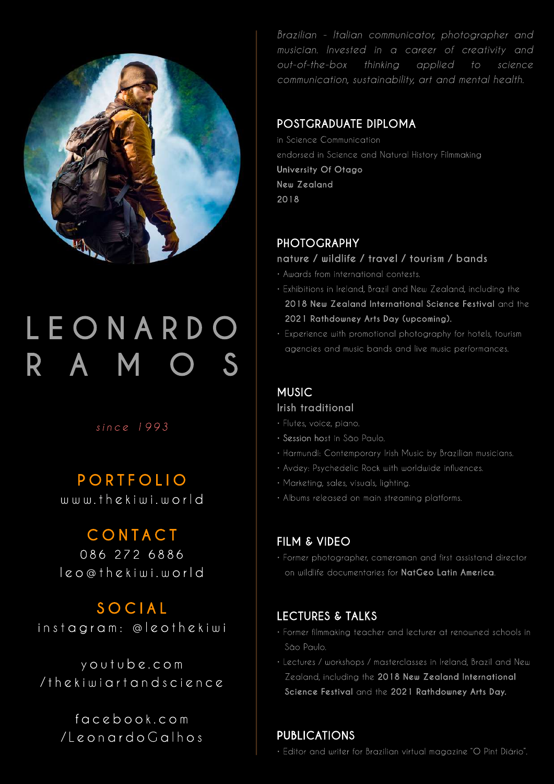

# **LEO NARDO R A M O S**

# *since 1993*

# **PORTFOLIO**

www.thekiwi.world

# **CONTACT**

086 272 6886 leo@thekiwi.world

# **SOCIAL**

instagram: @leothekiwi

youtube.com /thekiwiartandscience

> facebook.com /LeonardoGalhos

*Brazilian - Italian communicator, photographer and musician. Invested in a career of creativity and out-of-the-box thinking applied to science communication, sustainability, art and mental health.*

## **POSTGRADUATE DIPLOMA**

in Science Communication endorsed in Science and Natural History Filmmaking **University Of Otago New Zealand 2018**

# **PHOTOGRAPHY**

#### **nature / wildlife / travel / tourism / bands**

- Awards from international contests.
- Exhibitions in Ireland, Brazil and New Zealand, including the  **2018 New Zealand International Science Festival** and the  **2021 Rathdowney Arts Day (upcoming).**
- Experience with promotional photography for hotels, tourism agencies and music bands and live music performances.

# **MUSIC**

#### **Irish traditional**

- Flutes, voice, piano.
- Session host in São Paulo.
- Harmundi: Contemporary Irish Music by Brazilian musicians.
- Avdey: Psychedelic Rock with worldwide influences.
- Marketing, sales, visuals, lighting.
- Albums released on main streaming platforms.

# **FILM & VIDEO**

• Former photographer, cameraman and first assistand director on wildlife documentaries for **NatGeo Latin America**.

# **LECTURES & TALKS**

- Former filmmaking teacher and lecturer at renowned schools in São Paulo.
- Lectures / workshops / masterclasses in Ireland, Brazil and New Zealand, including the **2018 New Zealand International Science Festival** and the **2021 Rathdowney Arts Day.**

# **PUBLICATIONS**

• Editor and writer for Brazilian virtual magazine "O Pint Diário".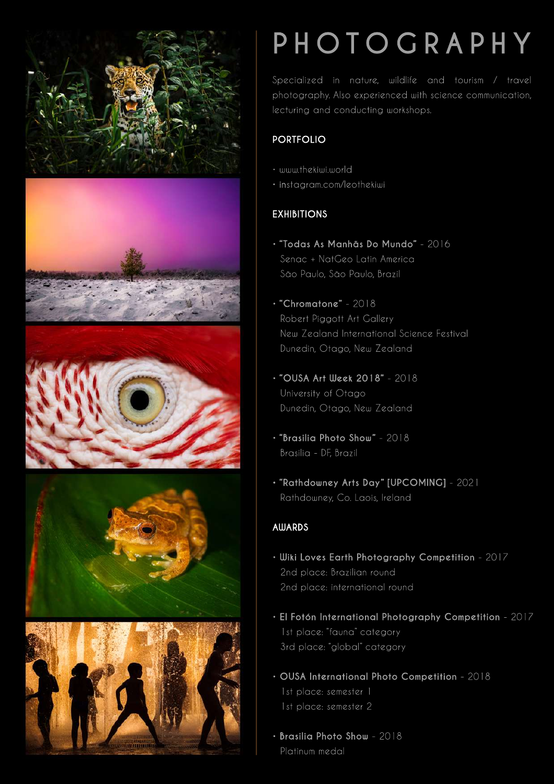









# **PHOTOGRAPHY**

Specialized in nature, wildlife and tourism / travel photography. Also experienced with science communication, lecturing and conducting workshops.

# **PORTFOLIO**

- www.thekiwi.world
- instagram.com/leothekiwi

# **EXHIBITIONS**

- **"Todas As Manhãs Do Mundo"** 2016 Senac + NatGeo Latin America São Paulo, São Paulo, Brazil
- **"Chromatone"** 2018 Robert Piggott Art Gallery New Zealand International Science Festival Dunedin, Otago, New Zealand
- **"OUSA Art Week 2018"** 2018 University of Otago Dunedin, Otago, New Zealand
- **"Brasilia Photo Show"** 2018 Brasilia - DF, Brazil
- **"Rathdowney Arts Day" [UPCOMING]** 2021 Rathdowney, Co. Laois, Ireland

# **AWARDS**

- **Wiki Loves Earth Photography Competition** 2017 2nd place: Brazilian round 2nd place: international round
- **El FotónInternational Photography Competition** 2017 1st place: "fauna" category 3rd place: "global" category
- **OUSA International Photo Competition** 2018 1st place: semester 1 1st place: semester 2
- **Brasilia Photo Show** 2018 Platinum medal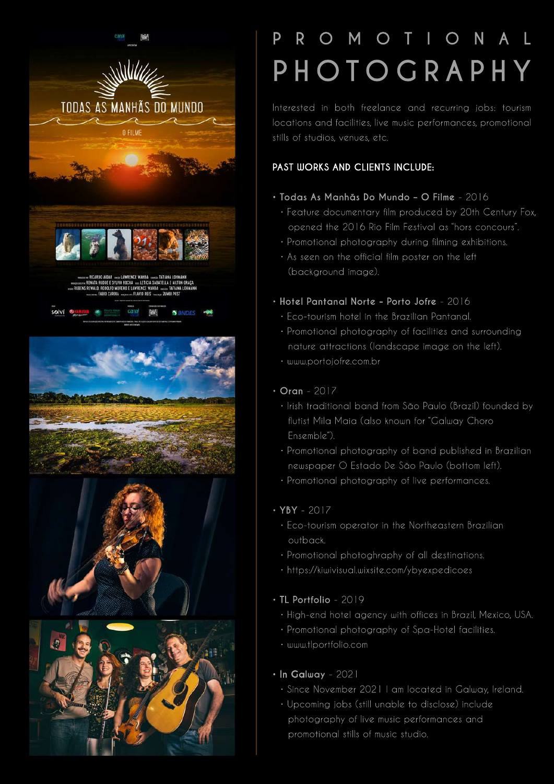







# **P R O M O T I O N A L PHOTOGRAPHY**

Interested in both freelance and recurring jobs: tourism locations and facilities, live music performances, promotional stills of studios, venues, etc.

## **PAST WORKS AND CLIENTS INCLUDE:**

#### **• Todas As Manhãs Do Mundo – O Filme** - 2016

- Feature documentary film produced by 20th Century Fox, opened the 2016 Rio Film Festival as "hors concours".
- Promotional photography during filming exhibitions.
- As seen on the official film poster on the left (background image).

## **• Hotel Pantanal Norte - Porto Jofre** - 2016

- Eco-tourism hotel in the Brazilian Pantanal.
- Promotional photography of facilities and surrounding nature attractions (landscape image on the left).
- www.portojofre.com.br

## **• Oran** - 2017

- Irish traditional band from São Paulo (Brazil) founded by flutist Mila Maia (also known for "Galway Choro Ensemble").
- Promotional photography of band published in Brazilian newspaper O Estado De São Paulo (bottom left).
- Promotional photography of live performances.

# **• YBY** - 2017

- Eco-tourism operator in the Northeastern Brazilian outback.
- Promotional photoghraphy of all destinations.
- https://kiwivisual.wixsite.com/ybyexpedicoes

#### **• TL Portfolio** - 2019

- High-end hotel agency with offices in Brazil, Mexico, USA.
- Promotional photography of Spa-Hotel facilities.
- www.tlportfolio.com

#### • In Galway - 2021

- Since November 2021 I am located in Galway, Ireland.
- Upcoming jobs (still unable to disclose) include photography of live music performances and promotional stills of music studio.